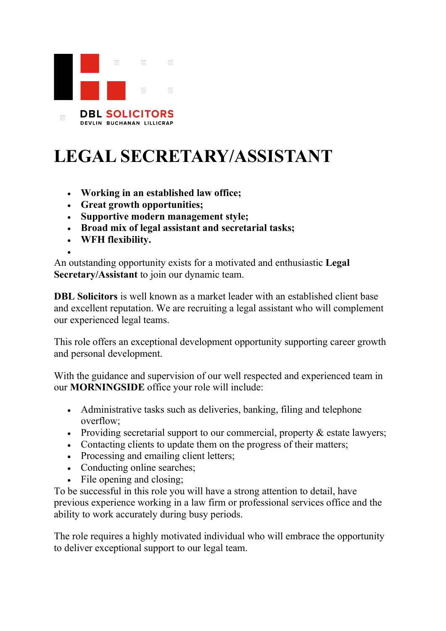

## **LEGAL SECRETARY/ASSISTANT**

- **Working in an established law office;**
- **Great growth opportunities;**
- **Supportive modern management style;**
- **Broad mix of legal assistant and secretarial tasks;**
- **WFH flexibility.**

• An outstanding opportunity exists for a motivated and enthusiastic **Legal Secretary/Assistant** to join our dynamic team.

**DBL Solicitors** is well known as a market leader with an established client base and excellent reputation. We are recruiting a legal assistant who will complement our experienced legal teams.

This role offers an exceptional development opportunity supporting career growth and personal development.

With the guidance and supervision of our well respected and experienced team in our **MORNINGSIDE** office your role will include:

- Administrative tasks such as deliveries, banking, filing and telephone overflow;
- Providing secretarial support to our commercial, property & estate lawyers;
- Contacting clients to update them on the progress of their matters;
- Processing and emailing client letters:
- Conducting online searches;
- File opening and closing;

To be successful in this role you will have a strong attention to detail, have previous experience working in a law firm or professional services office and the ability to work accurately during busy periods.

The role requires a highly motivated individual who will embrace the opportunity to deliver exceptional support to our legal team.